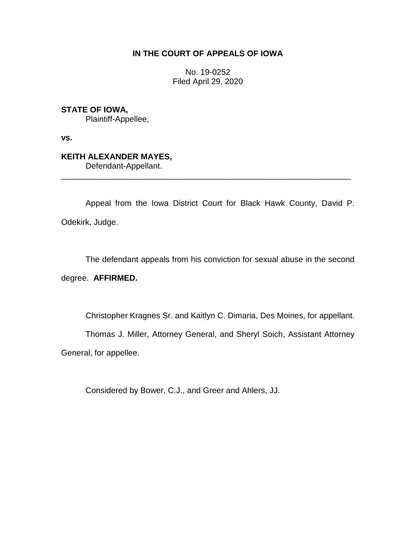## **IN THE COURT OF APPEALS OF IOWA**

No. 19-0252 Filed April 29, 2020

## **STATE OF IOWA,**

Plaintiff-Appellee,

**vs.**

## **KEITH ALEXANDER MAYES,**

Defendant-Appellant.

Appeal from the Iowa District Court for Black Hawk County, David P. Odekirk, Judge.

\_\_\_\_\_\_\_\_\_\_\_\_\_\_\_\_\_\_\_\_\_\_\_\_\_\_\_\_\_\_\_\_\_\_\_\_\_\_\_\_\_\_\_\_\_\_\_\_\_\_\_\_\_\_\_\_\_\_\_\_\_\_\_\_

The defendant appeals from his conviction for sexual abuse in the second

### degree. **AFFIRMED.**

Christopher Kragnes Sr. and Kaitlyn C. Dimaria, Des Moines, for appellant.

Thomas J. Miller, Attorney General, and Sheryl Soich, Assistant Attorney

General, for appellee.

Considered by Bower, C.J., and Greer and Ahlers, JJ.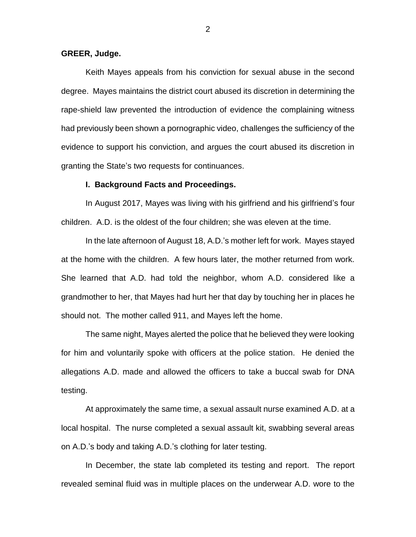#### **GREER, Judge.**

Keith Mayes appeals from his conviction for sexual abuse in the second degree. Mayes maintains the district court abused its discretion in determining the rape-shield law prevented the introduction of evidence the complaining witness had previously been shown a pornographic video, challenges the sufficiency of the evidence to support his conviction, and argues the court abused its discretion in granting the State's two requests for continuances.

#### **I. Background Facts and Proceedings.**

In August 2017, Mayes was living with his girlfriend and his girlfriend's four children. A.D. is the oldest of the four children; she was eleven at the time.

In the late afternoon of August 18, A.D.'s mother left for work. Mayes stayed at the home with the children. A few hours later, the mother returned from work. She learned that A.D. had told the neighbor, whom A.D. considered like a grandmother to her, that Mayes had hurt her that day by touching her in places he should not. The mother called 911, and Mayes left the home.

The same night, Mayes alerted the police that he believed they were looking for him and voluntarily spoke with officers at the police station. He denied the allegations A.D. made and allowed the officers to take a buccal swab for DNA testing.

At approximately the same time, a sexual assault nurse examined A.D. at a local hospital. The nurse completed a sexual assault kit, swabbing several areas on A.D.'s body and taking A.D.'s clothing for later testing.

In December, the state lab completed its testing and report. The report revealed seminal fluid was in multiple places on the underwear A.D. wore to the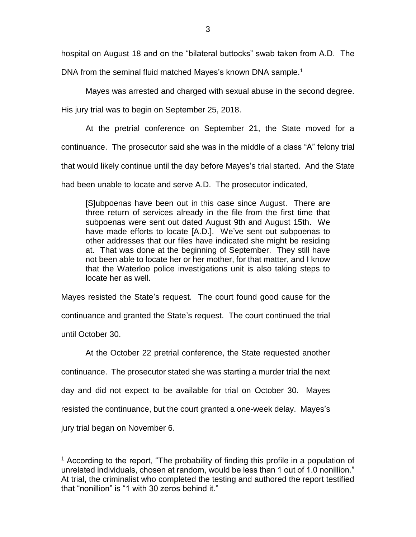hospital on August 18 and on the "bilateral buttocks" swab taken from A.D. The

DNA from the seminal fluid matched Mayes's known DNA sample.<sup>1</sup>

Mayes was arrested and charged with sexual abuse in the second degree.

His jury trial was to begin on September 25, 2018.

At the pretrial conference on September 21, the State moved for a continuance. The prosecutor said she was in the middle of a class "A" felony trial that would likely continue until the day before Mayes's trial started. And the State had been unable to locate and serve A.D. The prosecutor indicated,

[S]ubpoenas have been out in this case since August. There are three return of services already in the file from the first time that subpoenas were sent out dated August 9th and August 15th. We have made efforts to locate [A.D.]. We've sent out subpoenas to other addresses that our files have indicated she might be residing at. That was done at the beginning of September. They still have not been able to locate her or her mother, for that matter, and I know that the Waterloo police investigations unit is also taking steps to locate her as well.

Mayes resisted the State's request. The court found good cause for the continuance and granted the State's request. The court continued the trial until October 30.

At the October 22 pretrial conference, the State requested another continuance. The prosecutor stated she was starting a murder trial the next day and did not expect to be available for trial on October 30. Mayes resisted the continuance, but the court granted a one-week delay. Mayes's jury trial began on November 6.

 $\overline{a}$ 

<sup>&</sup>lt;sup>1</sup> According to the report, "The probability of finding this profile in a population of unrelated individuals, chosen at random, would be less than 1 out of 1.0 nonillion." At trial, the criminalist who completed the testing and authored the report testified that "nonillion" is "1 with 30 zeros behind it."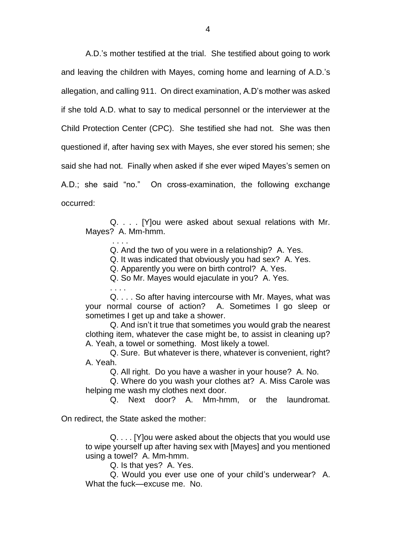A.D.'s mother testified at the trial. She testified about going to work and leaving the children with Mayes, coming home and learning of A.D.'s allegation, and calling 911. On direct examination, A.D's mother was asked if she told A.D. what to say to medical personnel or the interviewer at the Child Protection Center (CPC). She testified she had not. She was then questioned if, after having sex with Mayes, she ever stored his semen; she said she had not. Finally when asked if she ever wiped Mayes's semen on A.D.; she said "no." On cross-examination, the following exchange occurred:

Q. . . . [Y]ou were asked about sexual relations with Mr. Mayes? A. Mm-hmm.

> . . . . Q. And the two of you were in a relationship? A. Yes.

Q. It was indicated that obviously you had sex? A. Yes.

Q. Apparently you were on birth control? A. Yes.

Q. So Mr. Mayes would ejaculate in you? A. Yes.

Q. . . . So after having intercourse with Mr. Mayes, what was your normal course of action? A. Sometimes I go sleep or sometimes I get up and take a shower.

Q. And isn't it true that sometimes you would grab the nearest clothing item, whatever the case might be, to assist in cleaning up? A. Yeah, a towel or something. Most likely a towel.

Q. Sure. But whatever is there, whatever is convenient, right? A. Yeah.

Q. All right. Do you have a washer in your house? A. No.

Q. Where do you wash your clothes at? A. Miss Carole was helping me wash my clothes next door.

Q. Next door? A. Mm-hmm, or the laundromat.

On redirect, the State asked the mother:

. . . .

Q. . . . [Y]ou were asked about the objects that you would use to wipe yourself up after having sex with [Mayes] and you mentioned using a towel? A. Mm-hmm.

Q. Is that yes? A. Yes.

Q. Would you ever use one of your child's underwear? A. What the fuck—excuse me. No.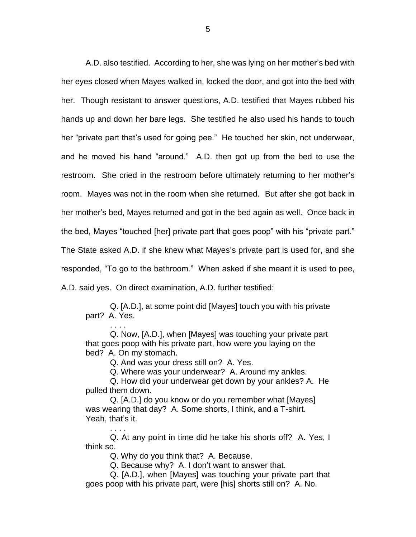A.D. also testified. According to her, she was lying on her mother's bed with her eyes closed when Mayes walked in, locked the door, and got into the bed with her. Though resistant to answer questions, A.D. testified that Mayes rubbed his hands up and down her bare legs. She testified he also used his hands to touch her "private part that's used for going pee." He touched her skin, not underwear, and he moved his hand "around." A.D. then got up from the bed to use the restroom. She cried in the restroom before ultimately returning to her mother's room. Mayes was not in the room when she returned. But after she got back in her mother's bed, Mayes returned and got in the bed again as well. Once back in the bed, Mayes "touched [her] private part that goes poop" with his "private part." The State asked A.D. if she knew what Mayes's private part is used for, and she responded, "To go to the bathroom." When asked if she meant it is used to pee, A.D. said yes. On direct examination, A.D. further testified:

Q. [A.D.], at some point did [Mayes] touch you with his private part? A. Yes.

. . . . Q. Now, [A.D.], when [Mayes] was touching your private part that goes poop with his private part, how were you laying on the bed? A. On my stomach.

Q. And was your dress still on? A. Yes.

Q. Where was your underwear? A. Around my ankles.

Q. How did your underwear get down by your ankles? A. He pulled them down.

Q. [A.D.] do you know or do you remember what [Mayes] was wearing that day? A. Some shorts, I think, and a T-shirt. Yeah, that's it.

Q. At any point in time did he take his shorts off? A. Yes, I think so.

Q. Why do you think that? A. Because.

. . . .

Q. Because why? A. I don't want to answer that.

Q. [A.D.], when [Mayes] was touching your private part that goes poop with his private part, were [his] shorts still on? A. No.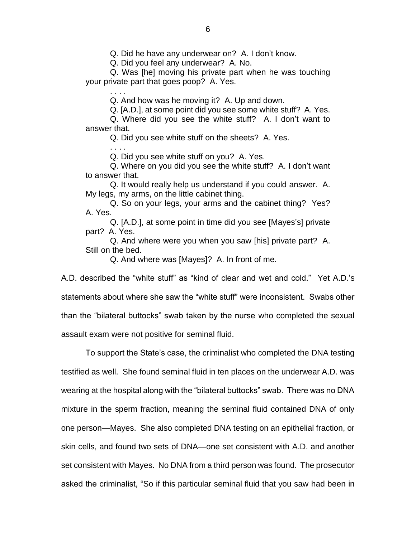Q. Did he have any underwear on? A. I don't know.

Q. Did you feel any underwear? A. No.

Q. Was [he] moving his private part when he was touching your private part that goes poop? A. Yes.

Q. And how was he moving it? A. Up and down.

Q. [A.D.], at some point did you see some white stuff? A. Yes.

Q. Where did you see the white stuff? A. I don't want to answer that.

Q. Did you see white stuff on the sheets? A. Yes.

. . . . Q. Did you see white stuff on you? A. Yes.

. . . .

Q. Where on you did you see the white stuff? A. I don't want to answer that.

Q. It would really help us understand if you could answer. A. My legs, my arms, on the little cabinet thing.

Q. So on your legs, your arms and the cabinet thing? Yes? A. Yes.

Q. [A.D.], at some point in time did you see [Mayes's] private part? A. Yes.

Q. And where were you when you saw [his] private part? A. Still on the bed.

Q. And where was [Mayes]? A. In front of me.

A.D. described the "white stuff" as "kind of clear and wet and cold." Yet A.D.'s statements about where she saw the "white stuff" were inconsistent. Swabs other than the "bilateral buttocks" swab taken by the nurse who completed the sexual assault exam were not positive for seminal fluid.

To support the State's case, the criminalist who completed the DNA testing testified as well. She found seminal fluid in ten places on the underwear A.D. was wearing at the hospital along with the "bilateral buttocks" swab. There was no DNA mixture in the sperm fraction, meaning the seminal fluid contained DNA of only one person—Mayes. She also completed DNA testing on an epithelial fraction, or skin cells, and found two sets of DNA—one set consistent with A.D. and another set consistent with Mayes. No DNA from a third person was found. The prosecutor asked the criminalist, "So if this particular seminal fluid that you saw had been in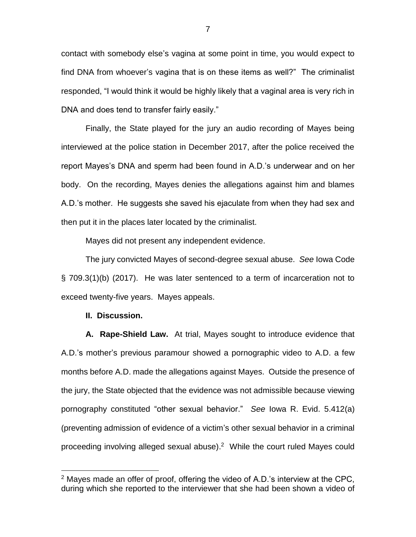contact with somebody else's vagina at some point in time, you would expect to find DNA from whoever's vagina that is on these items as well?" The criminalist responded, "I would think it would be highly likely that a vaginal area is very rich in DNA and does tend to transfer fairly easily."

Finally, the State played for the jury an audio recording of Mayes being interviewed at the police station in December 2017, after the police received the report Mayes's DNA and sperm had been found in A.D.'s underwear and on her body. On the recording, Mayes denies the allegations against him and blames A.D.'s mother. He suggests she saved his ejaculate from when they had sex and then put it in the places later located by the criminalist.

Mayes did not present any independent evidence.

The jury convicted Mayes of second-degree sexual abuse. *See* Iowa Code § 709.3(1)(b) (2017). He was later sentenced to a term of incarceration not to exceed twenty-five years. Mayes appeals.

#### **II. Discussion.**

 $\overline{a}$ 

**A. Rape-Shield Law.** At trial, Mayes sought to introduce evidence that A.D.'s mother's previous paramour showed a pornographic video to A.D. a few months before A.D. made the allegations against Mayes. Outside the presence of the jury, the State objected that the evidence was not admissible because viewing pornography constituted "other sexual behavior." *See* Iowa R. Evid. 5.412(a) (preventing admission of evidence of a victim's other sexual behavior in a criminal proceeding involving alleged sexual abuse). <sup>2</sup> While the court ruled Mayes could

 $2$  Mayes made an offer of proof, offering the video of A.D.'s interview at the CPC, during which she reported to the interviewer that she had been shown a video of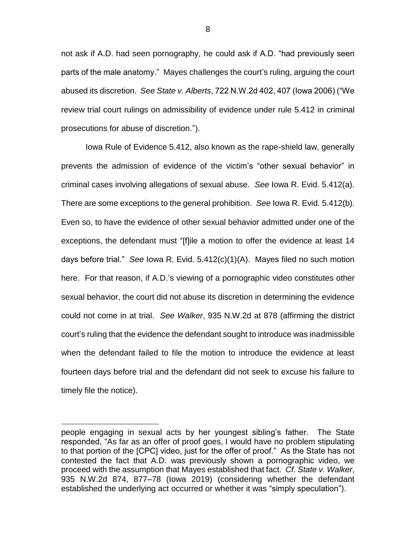not ask if A.D. had seen pornography, he could ask if A.D. "had previously seen parts of the male anatomy." Mayes challenges the court's ruling, arguing the court abused its discretion. *See State v. Alberts*, 722 N.W.2d 402, 407 (Iowa 2006) ("We review trial court rulings on admissibility of evidence under rule 5.412 in criminal prosecutions for abuse of discretion.").

Iowa Rule of Evidence 5.412, also known as the rape-shield law, generally prevents the admission of evidence of the victim's "other sexual behavior" in criminal cases involving allegations of sexual abuse. *See* Iowa R. Evid. 5.412(a). There are some exceptions to the general prohibition. *See* Iowa R. Evid. 5.412(b). Even so, to have the evidence of other sexual behavior admitted under one of the exceptions, the defendant must "[f]ile a motion to offer the evidence at least 14 days before trial." *See* Iowa R. Evid. 5.412(c)(1)(A). Mayes filed no such motion here. For that reason, if A.D.'s viewing of a pornographic video constitutes other sexual behavior, the court did not abuse its discretion in determining the evidence could not come in at trial. *See Walker*, 935 N.W.2d at 878 (affirming the district court's ruling that the evidence the defendant sought to introduce was inadmissible when the defendant failed to file the motion to introduce the evidence at least fourteen days before trial and the defendant did not seek to excuse his failure to timely file the notice).

 $\overline{a}$ 

people engaging in sexual acts by her youngest sibling's father. The State responded, "As far as an offer of proof goes, I would have no problem stipulating to that portion of the [CPC] video, just for the offer of proof." As the State has not contested the fact that A.D. was previously shown a pornographic video, we proceed with the assumption that Mayes established that fact. *Cf. State v. Walker*, 935 N.W.2d 874, 877–78 (Iowa 2019) (considering whether the defendant established the underlying act occurred or whether it was "simply speculation").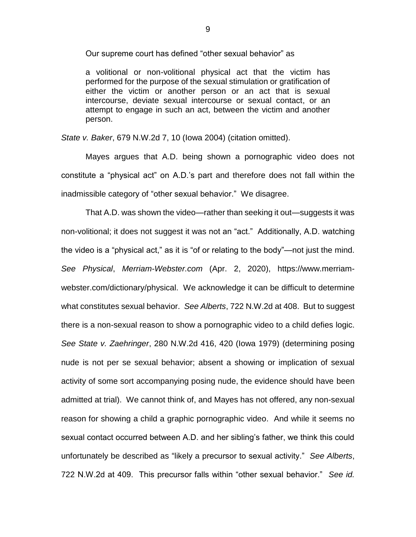Our supreme court has defined "other sexual behavior" as

a volitional or non-volitional physical act that the victim has performed for the purpose of the sexual stimulation or gratification of either the victim or another person or an act that is sexual intercourse, deviate sexual intercourse or sexual contact, or an attempt to engage in such an act, between the victim and another person.

*State v. Baker*, 679 N.W.2d 7, 10 (Iowa 2004) (citation omitted).

Mayes argues that A.D. being shown a pornographic video does not constitute a "physical act" on A.D.'s part and therefore does not fall within the inadmissible category of "other sexual behavior." We disagree.

That A.D. was shown the video—rather than seeking it out—suggests it was non-volitional; it does not suggest it was not an "act." Additionally, A.D. watching the video is a "physical act," as it is "of or relating to the body"—not just the mind. *See Physical*, *Merriam-Webster.com* (Apr. 2, 2020), https://www.merriamwebster.com/dictionary/physical. We acknowledge it can be difficult to determine what constitutes sexual behavior. *See Alberts*, 722 N.W.2d at 408. But to suggest there is a non-sexual reason to show a pornographic video to a child defies logic. *See State v. Zaehringer*, 280 N.W.2d 416, 420 (Iowa 1979) (determining posing nude is not per se sexual behavior; absent a showing or implication of sexual activity of some sort accompanying posing nude, the evidence should have been admitted at trial). We cannot think of, and Mayes has not offered, any non-sexual reason for showing a child a graphic pornographic video. And while it seems no sexual contact occurred between A.D. and her sibling's father, we think this could unfortunately be described as "likely a precursor to sexual activity." *See Alberts*, 722 N.W.2d at 409. This precursor falls within "other sexual behavior." *See id.*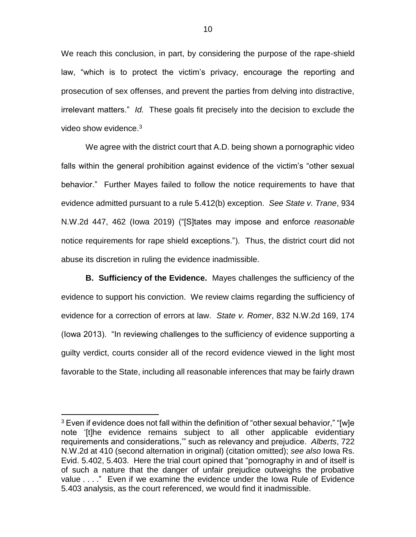We reach this conclusion, in part, by considering the purpose of the rape-shield law, "which is to protect the victim's privacy, encourage the reporting and prosecution of sex offenses, and prevent the parties from delving into distractive, irrelevant matters." *Id.* These goals fit precisely into the decision to exclude the video show evidence.<sup>3</sup>

We agree with the district court that A.D. being shown a pornographic video falls within the general prohibition against evidence of the victim's "other sexual behavior." Further Mayes failed to follow the notice requirements to have that evidence admitted pursuant to a rule 5.412(b) exception. *See State v. Trane*, 934 N.W.2d 447, 462 (Iowa 2019) ("[S]tates may impose and enforce *reasonable* notice requirements for rape shield exceptions."). Thus, the district court did not abuse its discretion in ruling the evidence inadmissible.

**B. Sufficiency of the Evidence.** Mayes challenges the sufficiency of the evidence to support his conviction. We review claims regarding the sufficiency of evidence for a correction of errors at law. *State v. Romer*, 832 N.W.2d 169, 174 (Iowa 2013). "In reviewing challenges to the sufficiency of evidence supporting a guilty verdict, courts consider all of the record evidence viewed in the light most favorable to the State, including all reasonable inferences that may be fairly drawn

 $\overline{a}$ 

 $3$  Even if evidence does not fall within the definition of "other sexual behavior," "[w]e note '[t]he evidence remains subject to all other applicable evidentiary requirements and considerations,'" such as relevancy and prejudice. *Alberts*, 722 N.W.2d at 410 (second alternation in original) (citation omitted); *see also* Iowa Rs. Evid. 5.402, 5.403. Here the trial court opined that "pornography in and of itself is of such a nature that the danger of unfair prejudice outweighs the probative value . . . ." Even if we examine the evidence under the Iowa Rule of Evidence 5.403 analysis, as the court referenced, we would find it inadmissible.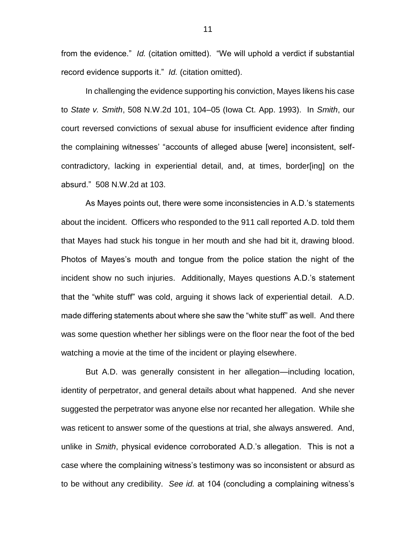from the evidence." *Id.* (citation omitted). "We will uphold a verdict if substantial record evidence supports it." *Id.* (citation omitted).

In challenging the evidence supporting his conviction, Mayes likens his case to *State v. Smith*, 508 N.W.2d 101, 104–05 (Iowa Ct. App. 1993). In *Smith*, our court reversed convictions of sexual abuse for insufficient evidence after finding the complaining witnesses' "accounts of alleged abuse [were] inconsistent, selfcontradictory, lacking in experiential detail, and, at times, border[ing] on the absurd." 508 N.W.2d at 103.

As Mayes points out, there were some inconsistencies in A.D.'s statements about the incident. Officers who responded to the 911 call reported A.D. told them that Mayes had stuck his tongue in her mouth and she had bit it, drawing blood. Photos of Mayes's mouth and tongue from the police station the night of the incident show no such injuries. Additionally, Mayes questions A.D.'s statement that the "white stuff" was cold, arguing it shows lack of experiential detail. A.D. made differing statements about where she saw the "white stuff" as well. And there was some question whether her siblings were on the floor near the foot of the bed watching a movie at the time of the incident or playing elsewhere.

But A.D. was generally consistent in her allegation—including location, identity of perpetrator, and general details about what happened. And she never suggested the perpetrator was anyone else nor recanted her allegation. While she was reticent to answer some of the questions at trial, she always answered. And, unlike in *Smith*, physical evidence corroborated A.D.'s allegation. This is not a case where the complaining witness's testimony was so inconsistent or absurd as to be without any credibility. *See id.* at 104 (concluding a complaining witness's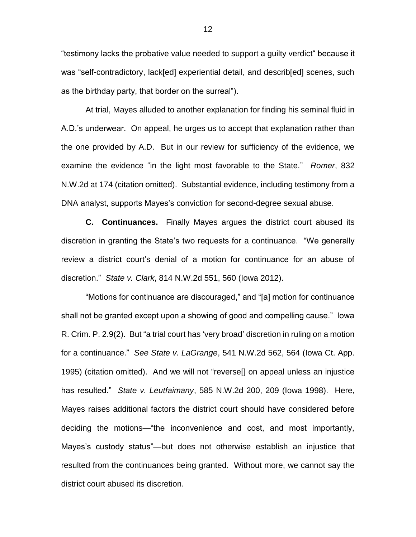"testimony lacks the probative value needed to support a guilty verdict" because it was "self-contradictory, lack[ed] experiential detail, and describ[ed] scenes, such as the birthday party, that border on the surreal").

At trial, Mayes alluded to another explanation for finding his seminal fluid in A.D.'s underwear. On appeal, he urges us to accept that explanation rather than the one provided by A.D. But in our review for sufficiency of the evidence, we examine the evidence "in the light most favorable to the State." *Romer*, 832 N.W.2d at 174 (citation omitted). Substantial evidence, including testimony from a DNA analyst, supports Mayes's conviction for second-degree sexual abuse.

**C. Continuances.** Finally Mayes argues the district court abused its discretion in granting the State's two requests for a continuance. "We generally review a district court's denial of a motion for continuance for an abuse of discretion." *State v. Clark*, 814 N.W.2d 551, 560 (Iowa 2012).

"Motions for continuance are discouraged," and "[a] motion for continuance shall not be granted except upon a showing of good and compelling cause." Iowa R. Crim. P. 2.9(2). But "a trial court has 'very broad' discretion in ruling on a motion for a continuance." *See State v. LaGrange*, 541 N.W.2d 562, 564 (Iowa Ct. App. 1995) (citation omitted). And we will not "reverse[] on appeal unless an injustice has resulted." *State v. Leutfaimany*, 585 N.W.2d 200, 209 (Iowa 1998). Here, Mayes raises additional factors the district court should have considered before deciding the motions—"the inconvenience and cost, and most importantly, Mayes's custody status"—but does not otherwise establish an injustice that resulted from the continuances being granted. Without more, we cannot say the district court abused its discretion.